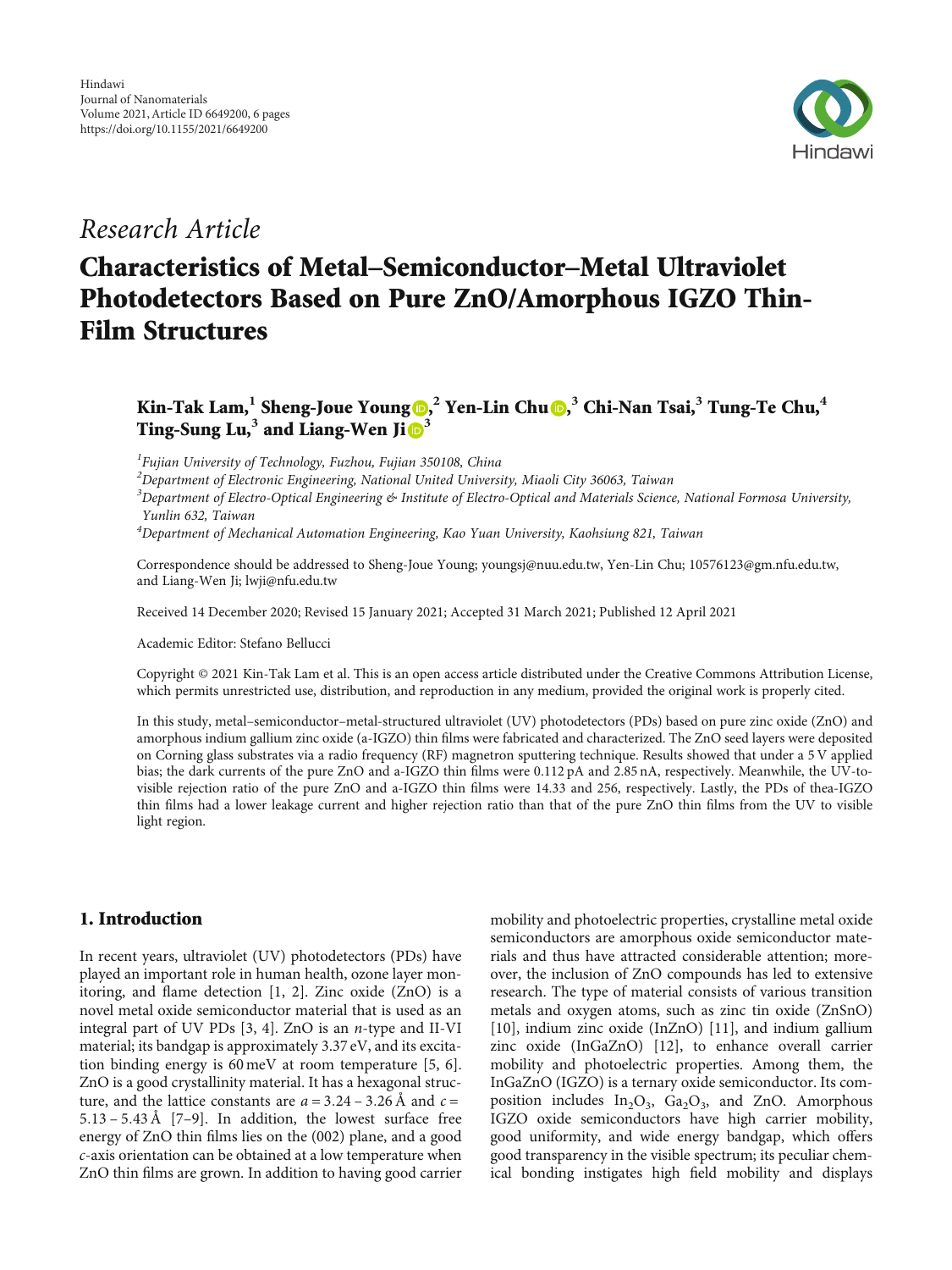

## Research Article

# Characteristics of Metal–Semiconductor–Metal Ultraviolet Photodetectors Based on Pure ZnO/Amorphous IGZO Thin-Film Structures

### Kin-Tak Lam, $^1$  Sheng-Joue Young  $\textbf{D},^2$  Yen-Lin Chu  $\textbf{D},^3$  Chi-Nan Tsai, $^3$  Tung-Te Chu, $^4$ Ting-Sung Lu,**<sup>3</sup>** and Liang-Wen Ji **<sup>3</sup>**

<sup>1</sup>Fujian University of Technology, Fuzhou, Fujian 350108, China

 $^2$ Department of Electronic Engineering, National United University, Miaoli City 36063, Taiwan

 $^3$ Department of Electro-Optical Engineering & Institute of Electro-Optical and Materials Science, National Formosa University, Yunlin 632, Taiwan

4 Department of Mechanical Automation Engineering, Kao Yuan University, Kaohsiung 821, Taiwan

Correspondence should be addressed to Sheng-Joue Young; youngsj@nuu.edu.tw, Yen-Lin Chu; 10576123@gm.nfu.edu.tw, and Liang-Wen Ji; lwji@nfu.edu.tw

Received 14 December 2020; Revised 15 January 2021; Accepted 31 March 2021; Published 12 April 2021

Academic Editor: Stefano Bellucci

Copyright © 2021 Kin-Tak Lam et al. This is an open access article distributed under the [Creative Commons Attribution License](https://creativecommons.org/licenses/by/4.0/), which permits unrestricted use, distribution, and reproduction in any medium, provided the original work is properly cited.

In this study, metal–semiconductor–metal-structured ultraviolet (UV) photodetectors (PDs) based on pure zinc oxide (ZnO) and amorphous indium gallium zinc oxide (a-IGZO) thin films were fabricated and characterized. The ZnO seed layers were deposited on Corning glass substrates via a radio frequency (RF) magnetron sputtering technique. Results showed that under a 5 V applied bias; the dark currents of the pure ZnO and a-IGZO thin films were 0.112 pA and 2.85 nA, respectively. Meanwhile, the UV-tovisible rejection ratio of the pure ZnO and a-IGZO thin films were 14.33 and 256, respectively. Lastly, the PDs of thea-IGZO thin films had a lower leakage current and higher rejection ratio than that of the pure ZnO thin films from the UV to visible light region.

#### 1. Introduction

In recent years, ultraviolet (UV) photodetectors (PDs) have played an important role in human health, ozone layer monitoring, and flame detection [[1, 2\]](#page-4-0). Zinc oxide (ZnO) is a novel metal oxide semiconductor material that is used as an integral part of UV PDs [[3, 4\]](#page-4-0). ZnO is an *n*-type and II-VI material; its bandgap is approximately 3.37 eV, and its excitation binding energy is 60 meV at room temperature [\[5, 6](#page-4-0)]. ZnO is a good crystallinity material. It has a hexagonal structure, and the lattice constants are  $a = 3.24 - 3.26 \text{ Å}$  and  $c =$ 5*:*13 – 5*:*43Å [[7](#page-4-0)–[9\]](#page-4-0). In addition, the lowest surface free energy of ZnO thin films lies on the (002) plane, and a good *c*-axis orientation can be obtained at a low temperature when ZnO thin films are grown. In addition to having good carrier mobility and photoelectric properties, crystalline metal oxide semiconductors are amorphous oxide semiconductor materials and thus have attracted considerable attention; moreover, the inclusion of ZnO compounds has led to extensive research. The type of material consists of various transition metals and oxygen atoms, such as zinc tin oxide (ZnSnO) [\[10\]](#page-4-0), indium zinc oxide (InZnO) [\[11\]](#page-4-0), and indium gallium zinc oxide (InGaZnO) [\[12\]](#page-4-0), to enhance overall carrier mobility and photoelectric properties. Among them, the InGaZnO (IGZO) is a ternary oxide semiconductor. Its composition includes  $In_2O_3$ ,  $Ga_2O_3$ , and ZnO. Amorphous IGZO oxide semiconductors have high carrier mobility, good uniformity, and wide energy bandgap, which offers good transparency in the visible spectrum; its peculiar chemical bonding instigates high field mobility and displays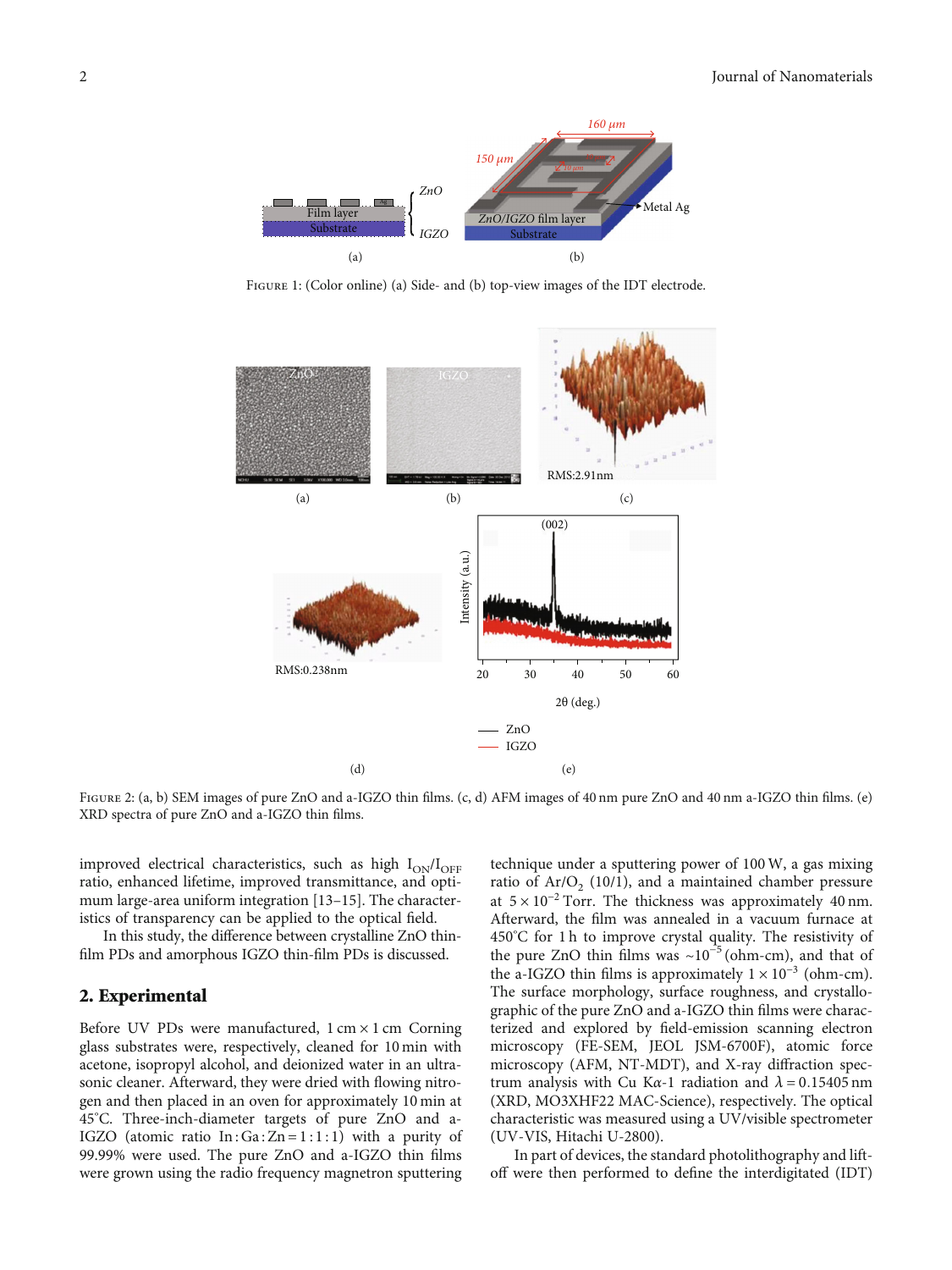<span id="page-1-0"></span>

Figure 1: (Color online) (a) Side- and (b) top-view images of the IDT electrode.



FIGURE 2: (a, b) SEM images of pure ZnO and a-IGZO thin films. (c, d) AFM images of 40 nm pure ZnO and 40 nm a-IGZO thin films. (e) XRD spectra of pure ZnO and a-IGZO thin films.

improved electrical characteristics, such as high  $I_{ON}/I_{OFF}$ ratio, enhanced lifetime, improved transmittance, and optimum large-area uniform integration [\[13](#page-4-0)–[15\]](#page-4-0). The characteristics of transparency can be applied to the optical field.

In this study, the difference between crystalline ZnO thinfilm PDs and amorphous IGZO thin-film PDs is discussed.

#### 2. Experimental

Before UV PDs were manufactured,  $1 \text{ cm} \times 1 \text{ cm}$  Corning glass substrates were, respectively, cleaned for 10 min with acetone, isopropyl alcohol, and deionized water in an ultrasonic cleaner. Afterward, they were dried with flowing nitrogen and then placed in an oven for approximately 10 min at 45° C. Three-inch-diameter targets of pure ZnO and a-IGZO (atomic ratio  $In: Ga: Zn = 1:1:1$ ) with a purity of 99.99% were used. The pure ZnO and a-IGZO thin films were grown using the radio frequency magnetron sputtering

technique under a sputtering power of 100W, a gas mixing ratio of Ar/O<sub>2</sub> (10/1), and a maintained chamber pressure at  $5 \times 10^{-2}$  Torr. The thickness was approximately 40 nm. Afterward, the film was annealed in a vacuum furnace at 450° C for 1 h to improve crystal quality. The resistivity of the pure ZnO thin films was  $\sim 10^{-5}$  (ohm-cm), and that of the a-IGZO thin films is approximately  $1 \times 10^{-3}$  (ohm-cm). The surface morphology, surface roughness, and crystallographic of the pure ZnO and a-IGZO thin films were characterized and explored by field-emission scanning electron microscopy (FE-SEM, JEOL JSM-6700F), atomic force microscopy (AFM, NT-MDT), and X-ray diffraction spectrum analysis with Cu K*α*-1 radiation and *λ* = 0*:*15405 nm (XRD, MO3XHF22 MAC-Science), respectively. The optical characteristic was measured using a UV/visible spectrometer (UV-VIS, Hitachi U-2800).

In part of devices, the standard photolithography and liftoff were then performed to define the interdigitated (IDT)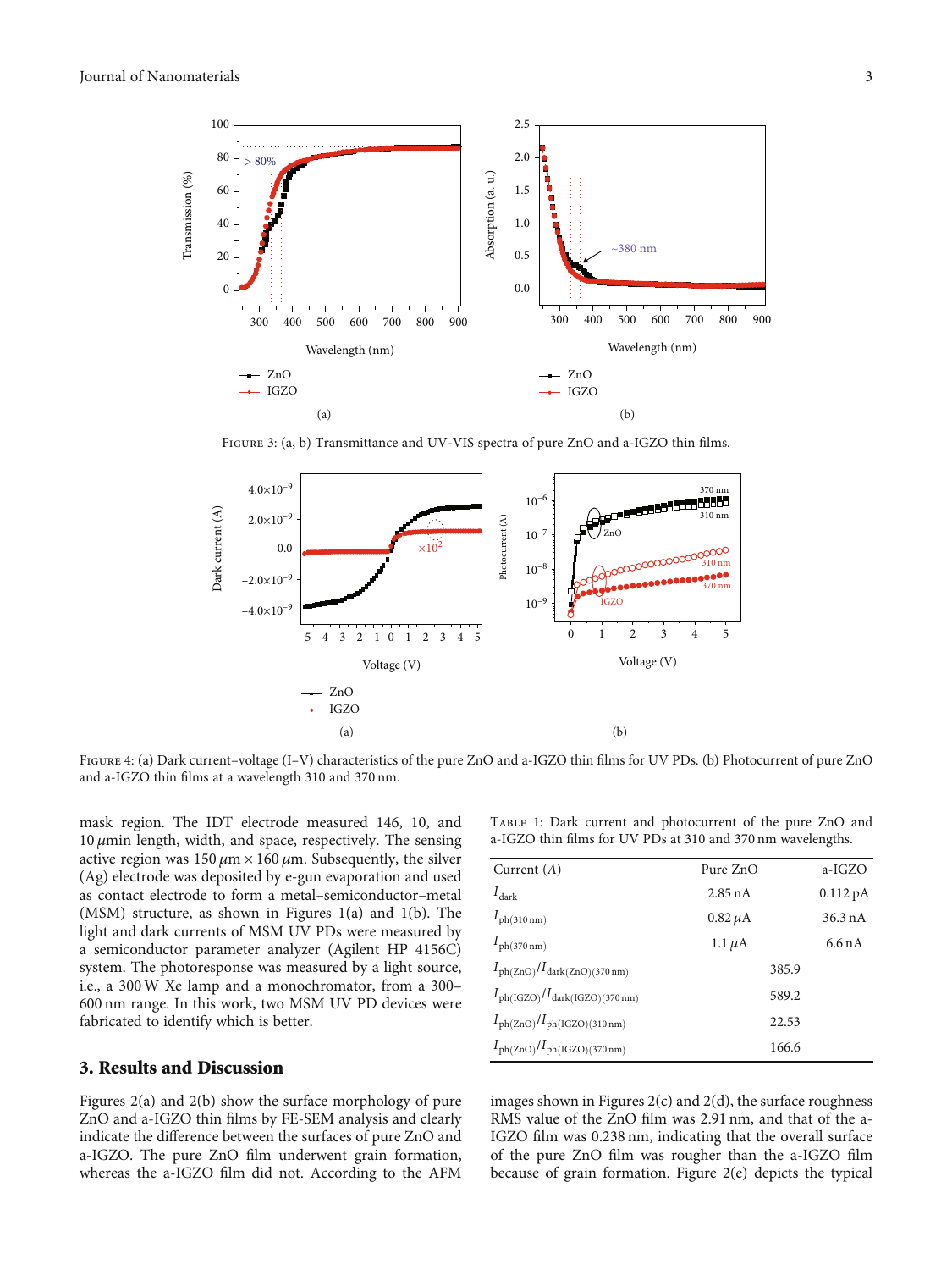<span id="page-2-0"></span>

Figure 3: (a, b) Transmittance and UV-VIS spectra of pure ZnO and a-IGZO thin films.



FIGURE 4: (a) Dark current-voltage (I–V) characteristics of the pure ZnO and a-IGZO thin films for UV PDs. (b) Photocurrent of pure ZnO and a-IGZO thin films at a wavelength 310 and 370 nm.

mask region. The IDT electrode measured 146, 10, and 10 *μ*min length, width, and space, respectively. The sensing active region was  $150 \mu m \times 160 \mu m$ . Subsequently, the silver (Ag) electrode was deposited by e-gun evaporation and used as contact electrode to form a metal–semiconductor–metal (MSM) structure, as shown in Figures [1\(a\)](#page-1-0) and [1\(b\)](#page-1-0). The light and dark currents of MSM UV PDs were measured by a semiconductor parameter analyzer (Agilent HP 4156C) system. The photoresponse was measured by a light source, i.e., a 300W Xe lamp and a monochromator, from a 300– 600 nm range. In this work, two MSM UV PD devices were fabricated to identify which is better.

#### 3. Results and Discussion

Figures [2\(a\)](#page-1-0) and [2\(b\)](#page-1-0) show the surface morphology of pure ZnO and a-IGZO thin films by FE-SEM analysis and clearly indicate the difference between the surfaces of pure ZnO and a-IGZO. The pure ZnO film underwent grain formation, whereas the a-IGZO film did not. According to the AFM

Table 1: Dark current and photocurrent of the pure ZnO and a-IGZO thin films for UV PDs at 310 and 370 nm wavelengths.

| Current $(A)$                                               | Pure ZnO     | a-IGZO            |
|-------------------------------------------------------------|--------------|-------------------|
| $I_{\rm dark}$                                              | $2.85$ nA    | $0.112\text{ pA}$ |
| $I_{\text{ph}(310\,\text{nm})}$                             | $0.82 \mu A$ | $36.3 \text{ nA}$ |
| $I_{\text{ph}(370\,\text{nm})}$                             | 1.1 $\mu$ A  | 6.6 n A           |
| $I_{\text{ph(ZnO)}}/I_{\text{dark(ZnO)}(370\,\text{nm})}$   | 385.9        |                   |
| $I_{\text{ph}(IGZO)}/I_{\text{dark}(IGZO)(370 \text{ nm})}$ | 589.2        |                   |
| $I_{\text{ph(ZnO)}}/I_{\text{ph(IGZO)(310 nm)}}$            | 22.53        |                   |
| $I_{\text{ph(ZnO)}}/I_{\text{ph(IGZO)(370 nm)}}$            | 166.6        |                   |

images shown in Figures  $2(c)$  and  $2(d)$ , the surface roughness RMS value of the ZnO film was 2.91 nm, and that of the a-IGZO film was 0.238 nm, indicating that the overall surface of the pure ZnO film was rougher than the a-IGZO film because of grain formation. Figure [2\(e\)](#page-1-0) depicts the typical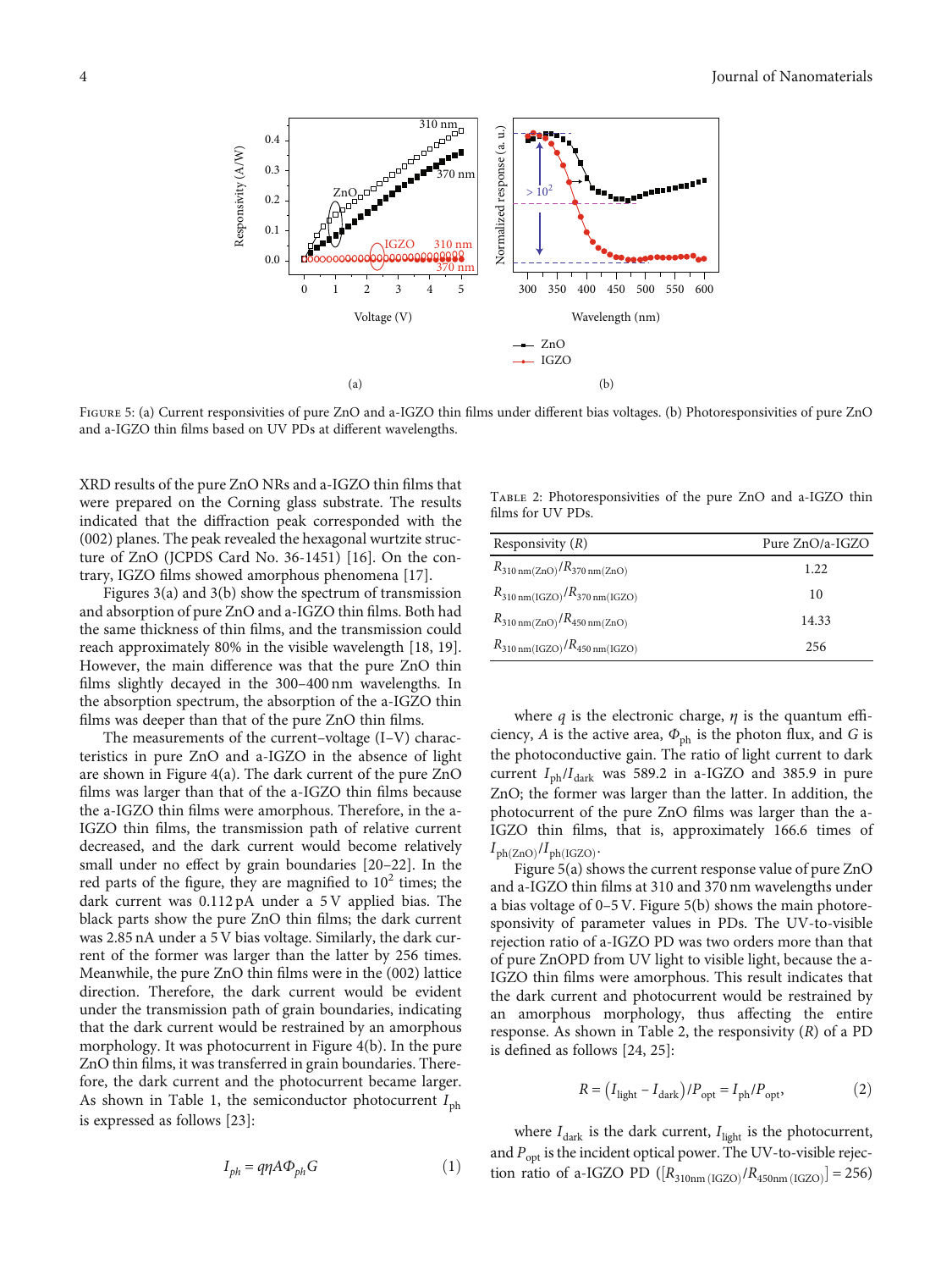

Figure 5: (a) Current responsivities of pure ZnO and a-IGZO thin films under different bias voltages. (b) Photoresponsivities of pure ZnO and a-IGZO thin films based on UV PDs at different wavelengths.

XRD results of the pure ZnO NRs and a-IGZO thin films that were prepared on the Corning glass substrate. The results indicated that the diffraction peak corresponded with the (002) planes. The peak revealed the hexagonal wurtzite structure of ZnO (JCPDS Card No. 36-1451) [[16](#page-4-0)]. On the contrary, IGZO films showed amorphous phenomena [\[17](#page-5-0)].

Figures [3\(a\)](#page-2-0) and [3\(b\)](#page-2-0) show the spectrum of transmission and absorption of pure ZnO and a-IGZO thin films. Both had the same thickness of thin films, and the transmission could reach approximately 80% in the visible wavelength [\[18, 19](#page-5-0)]. However, the main difference was that the pure ZnO thin films slightly decayed in the 300–400 nm wavelengths. In the absorption spectrum, the absorption of the a-IGZO thin films was deeper than that of the pure ZnO thin films.

The measurements of the current–voltage (I–V) characteristics in pure ZnO and a-IGZO in the absence of light are shown in Figure [4\(a\).](#page-2-0) The dark current of the pure ZnO films was larger than that of the a-IGZO thin films because the a-IGZO thin films were amorphous. Therefore, in the a-IGZO thin films, the transmission path of relative current decreased, and the dark current would become relatively small under no effect by grain boundaries [[20](#page-5-0)–[22](#page-5-0)]. In the red parts of the figure, they are magnified to  $10<sup>2</sup>$  times; the dark current was 0.112 pA under a 5 V applied bias. The black parts show the pure ZnO thin films; the dark current was 2.85 nA under a 5 V bias voltage. Similarly, the dark current of the former was larger than the latter by 256 times. Meanwhile, the pure ZnO thin films were in the (002) lattice direction. Therefore, the dark current would be evident under the transmission path of grain boundaries, indicating that the dark current would be restrained by an amorphous morphology. It was photocurrent in Figure [4\(b\)](#page-2-0). In the pure ZnO thin films, it was transferred in grain boundaries. Therefore, the dark current and the photocurrent became larger. As shown in Table [1](#page-2-0), the semiconductor photocurrent  $I_{\text{ph}}$ is expressed as follows [\[23](#page-5-0)]:

$$
I_{ph} = q\eta A \Phi_{ph} G \tag{1}
$$

Table 2: Photoresponsivities of the pure ZnO and a-IGZO thin films for UV PDs.

| Responsivity $(R)$                                                | Pure ZnO/a-IGZO |  |
|-------------------------------------------------------------------|-----------------|--|
| $R_{310 \text{ nm}(ZnO)}/R_{370 \text{ nm}(ZnO)}$                 | 1.22            |  |
| $R_{310 \text{ nm}(\text{IGZO})}/R_{370 \text{ nm}(\text{IGZO})}$ | 10              |  |
| $R_{310 \text{ nm}(ZnO)}/R_{450 \text{ nm}(ZnO)}$                 | 14.33           |  |
| $R_{310 \text{ nm}(\text{IGZO})}/R_{450 \text{ nm}(\text{IGZO})}$ | 256             |  |

where  $q$  is the electronic charge,  $\eta$  is the quantum efficiency, *A* is the active area,  $\Phi_{ph}$  is the photon flux, and *G* is the photoconductive gain. The ratio of light current to dark current  $I_{ph}/I_{dark}$  was 589.2 in a-IGZO and 385.9 in pure ZnO; the former was larger than the latter. In addition, the photocurrent of the pure ZnO films was larger than the a-IGZO thin films, that is, approximately 166.6 times of  $I_{ph(ZnO)}/I_{ph(IGZO)}$ .

Figure 5(a) shows the current response value of pure ZnO and a-IGZO thin films at 310 and 370 nm wavelengths under a bias voltage of 0–5 V. Figure 5(b) shows the main photoresponsivity of parameter values in PDs. The UV-to-visible rejection ratio of a-IGZO PD was two orders more than that of pure ZnOPD from UV light to visible light, because the a-IGZO thin films were amorphous. This result indicates that the dark current and photocurrent would be restrained by an amorphous morphology, thus affecting the entire response. As shown in Table 2, the responsivity (*R*) of a PD is defined as follows [\[24, 25](#page-5-0)]:

$$
R = (I_{\text{light}} - I_{\text{dark}}) / P_{\text{opt}} = I_{\text{ph}} / P_{\text{opt}},
$$
\n(2)

where  $I_{\text{dark}}$  is the dark current,  $I_{\text{light}}$  is the photocurrent, and  $P_{\text{opt}}$  is the incident optical power. The UV-to-visible rejection ratio of a-IGZO PD ( $[R_{310nm (IGZO)}/R_{450nm (IGZO)}] = 256$ )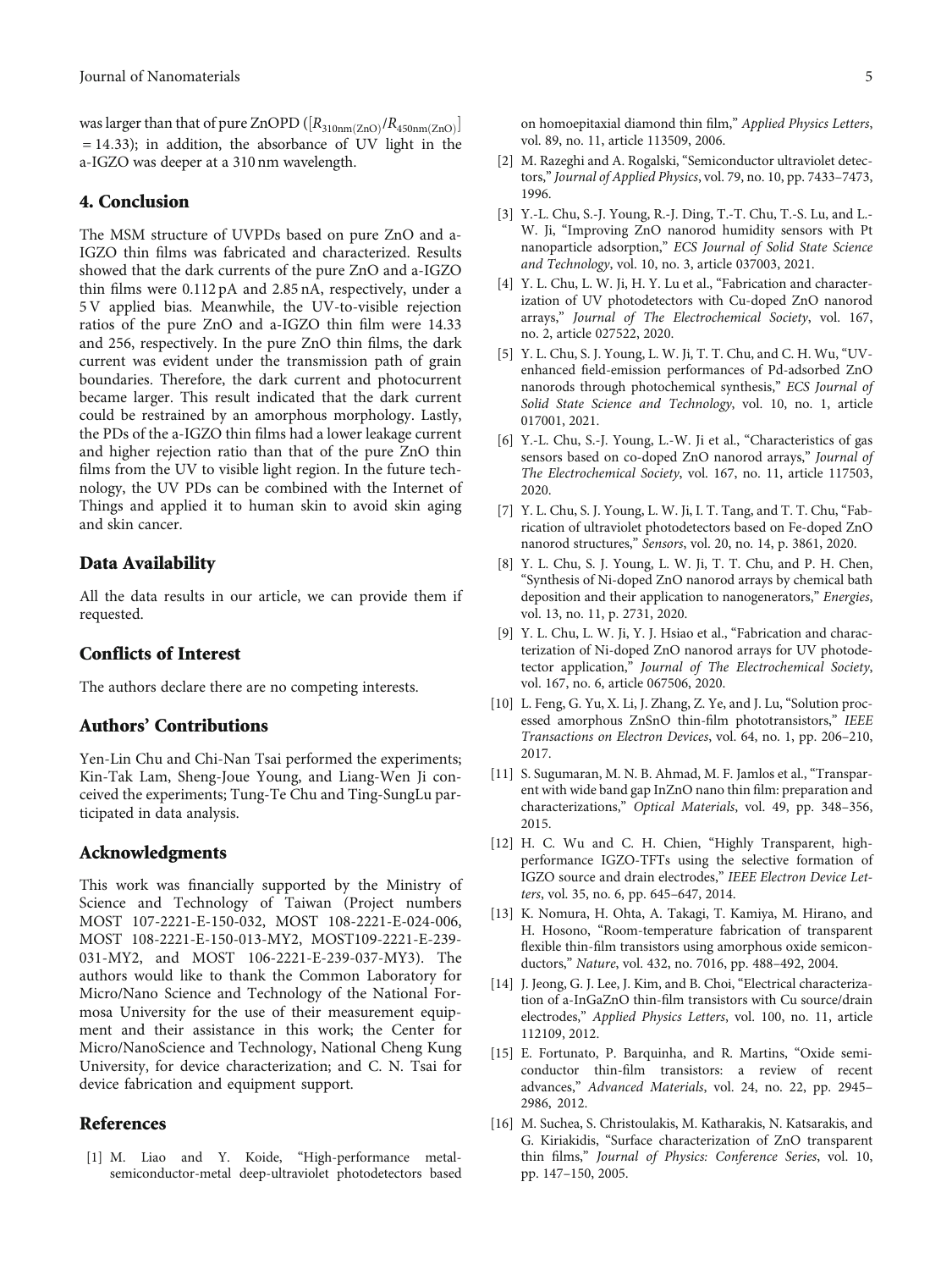<span id="page-4-0"></span>was larger than that of pure ZnOPD  $([R_{310nm(ZnO)}/R_{450nm(ZnO)}])$ = 14*:*33); in addition, the absorbance of UV light in the a-IGZO was deeper at a 310 nm wavelength.

#### 4. Conclusion

The MSM structure of UVPDs based on pure ZnO and a-IGZO thin films was fabricated and characterized. Results showed that the dark currents of the pure ZnO and a-IGZO thin films were 0.112 pA and 2.85 nA, respectively, under a 5 V applied bias. Meanwhile, the UV-to-visible rejection ratios of the pure ZnO and a-IGZO thin film were 14.33 and 256, respectively. In the pure ZnO thin films, the dark current was evident under the transmission path of grain boundaries. Therefore, the dark current and photocurrent became larger. This result indicated that the dark current could be restrained by an amorphous morphology. Lastly, the PDs of the a-IGZO thin films had a lower leakage current and higher rejection ratio than that of the pure ZnO thin films from the UV to visible light region. In the future technology, the UV PDs can be combined with the Internet of Things and applied it to human skin to avoid skin aging and skin cancer.

#### Data Availability

All the data results in our article, we can provide them if requested.

#### Conflicts of Interest

The authors declare there are no competing interests.

#### Authors' Contributions

Yen-Lin Chu and Chi-Nan Tsai performed the experiments; Kin-Tak Lam, Sheng-Joue Young, and Liang-Wen Ji conceived the experiments; Tung-Te Chu and Ting-SungLu participated in data analysis.

#### Acknowledgments

This work was financially supported by the Ministry of Science and Technology of Taiwan (Project numbers MOST 107-2221-E-150-032, MOST 108-2221-E-024-006, MOST 108-2221-E-150-013-MY2, MOST109-2221-E-239- 031-MY2, and MOST 106-2221-E-239-037-MY3). The authors would like to thank the Common Laboratory for Micro/Nano Science and Technology of the National Formosa University for the use of their measurement equipment and their assistance in this work; the Center for Micro/NanoScience and Technology, National Cheng Kung University, for device characterization; and C. N. Tsai for device fabrication and equipment support.

#### References

[1] M. Liao and Y. Koide, "High-performance metalsemiconductor-metal deep-ultraviolet photodetectors based on homoepitaxial diamond thin film," Applied Physics Letters, vol. 89, no. 11, article 113509, 2006.

- [2] M. Razeghi and A. Rogalski, "Semiconductor ultraviolet detectors,"Journal of Applied Physics, vol. 79, no. 10, pp. 7433–7473, 1996.
- [3] Y.-L. Chu, S.-J. Young, R.-J. Ding, T.-T. Chu, T.-S. Lu, and L.- W. Ji, "Improving ZnO nanorod humidity sensors with Pt nanoparticle adsorption," ECS Journal of Solid State Science and Technology, vol. 10, no. 3, article 037003, 2021.
- [4] Y. L. Chu, L. W. Ji, H. Y. Lu et al., "Fabrication and characterization of UV photodetectors with Cu-doped ZnO nanorod arrays," Journal of The Electrochemical Society, vol. 167, no. 2, article 027522, 2020.
- [5] Y. L. Chu, S. J. Young, L. W. Ji, T. T. Chu, and C. H. Wu, "UVenhanced field-emission performances of Pd-adsorbed ZnO nanorods through photochemical synthesis," ECS Journal of Solid State Science and Technology, vol. 10, no. 1, article 017001, 2021.
- [6] Y.-L. Chu, S.-J. Young, L.-W. Ji et al., "Characteristics of gas sensors based on co-doped ZnO nanorod arrays," Journal of The Electrochemical Society, vol. 167, no. 11, article 117503, 2020.
- [7] Y. L. Chu, S. J. Young, L. W. Ji, I. T. Tang, and T. T. Chu, "Fabrication of ultraviolet photodetectors based on Fe-doped ZnO nanorod structures," Sensors, vol. 20, no. 14, p. 3861, 2020.
- [8] Y. L. Chu, S. J. Young, L. W. Ji, T. T. Chu, and P. H. Chen, "Synthesis of Ni-doped ZnO nanorod arrays by chemical bath deposition and their application to nanogenerators," Energies, vol. 13, no. 11, p. 2731, 2020.
- [9] Y. L. Chu, L. W. Ji, Y. J. Hsiao et al., "Fabrication and characterization of Ni-doped ZnO nanorod arrays for UV photodetector application," Journal of The Electrochemical Society, vol. 167, no. 6, article 067506, 2020.
- [10] L. Feng, G. Yu, X. Li, J. Zhang, Z. Ye, and J. Lu, "Solution processed amorphous ZnSnO thin-film phototransistors," IEEE Transactions on Electron Devices, vol. 64, no. 1, pp. 206–210, 2017.
- [11] S. Sugumaran, M. N. B. Ahmad, M. F. Jamlos et al., "Transparent with wide band gap InZnO nano thin film: preparation and characterizations," Optical Materials, vol. 49, pp. 348–356, 2015.
- [12] H. C. Wu and C. H. Chien, "Highly Transparent, highperformance IGZO-TFTs using the selective formation of IGZO source and drain electrodes," IEEE Electron Device Letters, vol. 35, no. 6, pp. 645–647, 2014.
- [13] K. Nomura, H. Ohta, A. Takagi, T. Kamiya, M. Hirano, and H. Hosono, "Room-temperature fabrication of transparent flexible thin-film transistors using amorphous oxide semiconductors," Nature, vol. 432, no. 7016, pp. 488–492, 2004.
- [14] J. Jeong, G. J. Lee, J. Kim, and B. Choi, "Electrical characterization of a-InGaZnO thin-film transistors with Cu source/drain electrodes," Applied Physics Letters, vol. 100, no. 11, article 112109, 2012.
- [15] E. Fortunato, P. Barquinha, and R. Martins, "Oxide semiconductor thin-film transistors: a review of recent advances," Advanced Materials, vol. 24, no. 22, pp. 2945– 2986, 2012.
- [16] M. Suchea, S. Christoulakis, M. Katharakis, N. Katsarakis, and G. Kiriakidis, "Surface characterization of ZnO transparent thin films," Journal of Physics: Conference Series, vol. 10, pp. 147–150, 2005.